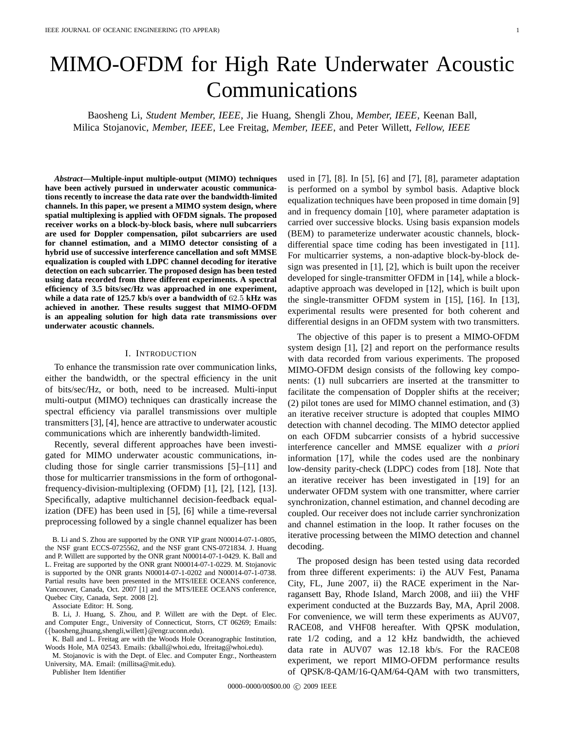# MIMO-OFDM for High Rate Underwater Acoustic Communications

Baosheng Li, *Student Member, IEEE*, Jie Huang, Shengli Zhou, *Member, IEEE*, Keenan Ball, Milica Stojanovic, *Member, IEEE*, Lee Freitag, *Member, IEEE*, and Peter Willett, *Fellow, IEEE*

*Abstract***—Multiple-input multiple-output (MIMO) techniques have been actively pursued in underwater acoustic communications recently to increase the data rate over the bandwidth-limited channels. In this paper, we present a MIMO system design, where spatial multiplexing is applied with OFDM signals. The proposed receiver works on a block-by-block basis, where null subcarriers are used for Doppler compensation, pilot subcarriers are used for channel estimation, and a MIMO detector consisting of a hybrid use of successive interference cancellation and soft MMSE equalization is coupled with LDPC channel decoding for iterative detection on each subcarrier. The proposed design has been tested using data recorded from three different experiments. A spectral efficiency of 3.5 bits/sec/Hz was approached in one experiment, while a data rate of 125.7 kb/s over a bandwidth of** 62.5 **kHz was achieved in another. These results suggest that MIMO-OFDM is an appealing solution for high data rate transmissions over underwater acoustic channels.**

#### I. INTRODUCTION

To enhance the transmission rate over communication links, either the bandwidth, or the spectral efficiency in the unit of bits/sec/Hz, or both, need to be increased. Multi-input multi-output (MIMO) techniques can drastically increase the spectral efficiency via parallel transmissions over multiple transmitters [3], [4], hence are attractive to underwater acoustic communications which are inherently bandwidth-limited.

Recently, several different approaches have been investigated for MIMO underwater acoustic communications, including those for single carrier transmissions [5]–[11] and those for multicarrier transmissions in the form of orthogonalfrequency-division-multiplexing (OFDM) [1], [2], [12], [13]. Specifically, adaptive multichannel decision-feedback equalization (DFE) has been used in [5], [6] while a time-reversal preprocessing followed by a single channel equalizer has been

Associate Editor: H. Song.

K. Ball and L. Freitag are with the Woods Hole Oceanographic Institution, Woods Hole, MA 02543. Emails: (kball@whoi.edu, lfreitag@whoi.edu).

Publisher Item Identifier

used in [7], [8]. In [5], [6] and [7], [8], parameter adaptation is performed on a symbol by symbol basis. Adaptive block equalization techniques have been proposed in time domain [9] and in frequency domain [10], where parameter adaptation is carried over successive blocks. Using basis expansion models (BEM) to parameterize underwater acoustic channels, blockdifferential space time coding has been investigated in [11]. For multicarrier systems, a non-adaptive block-by-block design was presented in [1], [2], which is built upon the receiver developed for single-transmitter OFDM in [14], while a blockadaptive approach was developed in [12], which is built upon the single-transmitter OFDM system in [15], [16]. In [13], experimental results were presented for both coherent and differential designs in an OFDM system with two transmitters.

The objective of this paper is to present a MIMO-OFDM system design [1], [2] and report on the performance results with data recorded from various experiments. The proposed MIMO-OFDM design consists of the following key components: (1) null subcarriers are inserted at the transmitter to facilitate the compensation of Doppler shifts at the receiver; (2) pilot tones are used for MIMO channel estimation, and (3) an iterative receiver structure is adopted that couples MIMO detection with channel decoding. The MIMO detector applied on each OFDM subcarrier consists of a hybrid successive interference canceller and MMSE equalizer with *a priori* information [17], while the codes used are the nonbinary low-density parity-check (LDPC) codes from [18]. Note that an iterative receiver has been investigated in [19] for an underwater OFDM system with one transmitter, where carrier synchronization, channel estimation, and channel decoding are coupled. Our receiver does not include carrier synchronization and channel estimation in the loop. It rather focuses on the iterative processing between the MIMO detection and channel decoding.

The proposed design has been tested using data recorded from three different experiments: i) the AUV Fest, Panama City, FL, June 2007, ii) the RACE experiment in the Narragansett Bay, Rhode Island, March 2008, and iii) the VHF experiment conducted at the Buzzards Bay, MA, April 2008. For convenience, we will term these experiments as AUV07, RACE08, and VHF08 hereafter. With QPSK modulation, rate 1/2 coding, and a 12 kHz bandwidth, the achieved data rate in AUV07 was 12.18 kb/s. For the RACE08 experiment, we report MIMO-OFDM performance results of QPSK/8-QAM/16-QAM/64-QAM with two transmitters,

B. Li and S. Zhou are supported by the ONR YIP grant N00014-07-1-0805, the NSF grant ECCS-0725562, and the NSF grant CNS-0721834. J. Huang and P. Willett are supported by the ONR grant N00014-07-1-0429. K. Ball and L. Freitag are supported by the ONR grant N00014-07-1-0229. M. Stojanovic is supported by the ONR grants N00014-07-1-0202 and N00014-07-1-0738. Partial results have been presented in the MTS/IEEE OCEANS conference, Vancouver, Canada, Oct. 2007 [1] and the MTS/IEEE OCEANS conference, Quebec City, Canada, Sept. 2008 [2].

B. Li, J. Huang, S. Zhou, and P. Willett are with the Dept. of Elec. and Computer Engr., University of Connecticut, Storrs, CT 06269; Emails: ({baosheng,jhuang,shengli,willett}@engr.uconn.edu).

M. Stojanovic is with the Dept. of Elec. and Computer Engr., Northeastern University, MA. Email: (millitsa@mit.edu).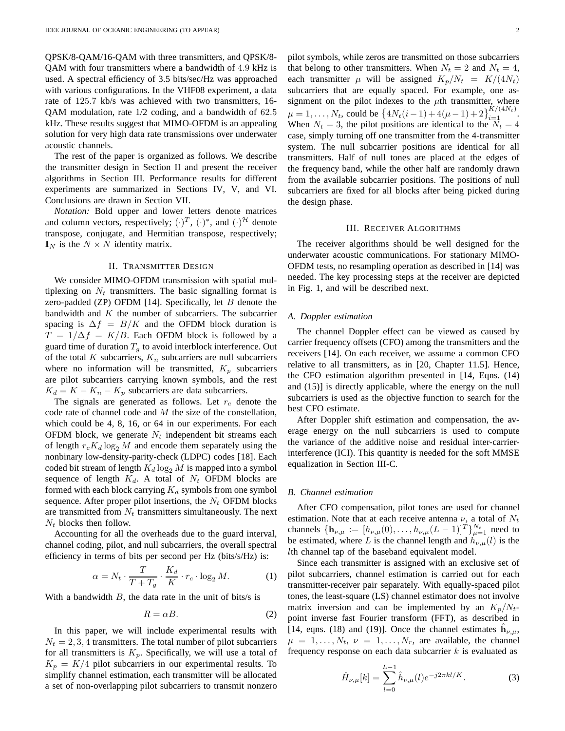QPSK/8-QAM/16-QAM with three transmitters, and QPSK/8- QAM with four transmitters where a bandwidth of 4.9 kHz is used. A spectral efficiency of 3.5 bits/sec/Hz was approached with various configurations. In the VHF08 experiment, a data rate of 125.7 kb/s was achieved with two transmitters, 16- QAM modulation, rate 1/2 coding, and a bandwidth of 62.5 kHz. These results suggest that MIMO-OFDM is an appealing solution for very high data rate transmissions over underwater acoustic channels.

The rest of the paper is organized as follows. We describe the transmitter design in Section II and present the receiver algorithms in Section III. Performance results for different experiments are summarized in Sections IV, V, and VI. Conclusions are drawn in Section VII.

*Notation:* Bold upper and lower letters denote matrices and column vectors, respectively;  $(\cdot)^T$ ,  $(\cdot)^*$ , and  $(\cdot)^H$  denote transpose, conjugate, and Hermitian transpose, respectively;  $I_N$  is the  $N \times N$  identity matrix.

# II. TRANSMITTER DESIGN

We consider MIMO-OFDM transmission with spatial multiplexing on  $N_t$  transmitters. The basic signalling format is zero-padded (ZP) OFDM [14]. Specifically, let  $B$  denote the bandwidth and  $K$  the number of subcarriers. The subcarrier spacing is  $\Delta f = B/K$  and the OFDM block duration is  $T = 1/\Delta f = K/B$ . Each OFDM block is followed by a guard time of duration  $T<sub>g</sub>$  to avoid interblock interference. Out of the total K subcarriers,  $K_n$  subcarriers are null subcarriers where no information will be transmitted,  $K_p$  subcarriers are pilot subcarriers carrying known symbols, and the rest  $K_d = K - K_n - K_p$  subcarriers are data subcarriers.

The signals are generated as follows. Let  $r_c$  denote the code rate of channel code and  $M$  the size of the constellation, which could be 4, 8, 16, or 64 in our experiments. For each OFDM block, we generate  $N_t$  independent bit streams each of length  $r_cK_d \log_2 M$  and encode them separately using the nonbinary low-density-parity-check (LDPC) codes [18]. Each coded bit stream of length  $K_d \log_2 M$  is mapped into a symbol sequence of length  $K_d$ . A total of  $N_t$  OFDM blocks are formed with each block carrying  $K_d$  symbols from one symbol sequence. After proper pilot insertions, the  $N_t$  OFDM blocks are transmitted from  $N_t$  transmitters simultaneously. The next  $N_t$  blocks then follow.

Accounting for all the overheads due to the guard interval, channel coding, pilot, and null subcarriers, the overall spectral efficiency in terms of bits per second per Hz (bits/s/Hz) is:

$$
\alpha = N_t \cdot \frac{T}{T + T_g} \cdot \frac{K_d}{K} \cdot r_c \cdot \log_2 M. \tag{1}
$$

With a bandwidth  $B$ , the data rate in the unit of bits/s is

$$
R = \alpha B. \tag{2}
$$

In this paper, we will include experimental results with  $N_t = 2, 3, 4$  transmitters. The total number of pilot subcarriers for all transmitters is  $K_p$ . Specifically, we will use a total of  $K_p = K/4$  pilot subcarriers in our experimental results. To simplify channel estimation, each transmitter will be allocated a set of non-overlapping pilot subcarriers to transmit nonzero pilot symbols, while zeros are transmitted on those subcarriers that belong to other transmitters. When  $N_t = 2$  and  $N_t = 4$ , each transmitter  $\mu$  will be assigned  $K_p/N_t = K/(4N_t)$ subcarriers that are equally spaced. For example, one assignment on the pilot indexes to the  $\mu$ th transmitter, where  $\mu = 1, ..., N_t$ , could be  $\left\{4N_t(i-1) + 4(\mu - 1) + 2\right\}_{i=1}^{K/(4N_t)}$ . When  $N_t = 3$ , the pilot positions are identical to the  $N_t = 4$ case, simply turning off one transmitter from the 4-transmitter system. The null subcarrier positions are identical for all transmitters. Half of null tones are placed at the edges of the frequency band, while the other half are randomly drawn from the available subcarrier positions. The positions of null subcarriers are fixed for all blocks after being picked during the design phase.

#### III. RECEIVER ALGORITHMS

The receiver algorithms should be well designed for the underwater acoustic communications. For stationary MIMO-OFDM tests, no resampling operation as described in [14] was needed. The key processing steps at the receiver are depicted in Fig. 1, and will be described next.

#### *A. Doppler estimation*

The channel Doppler effect can be viewed as caused by carrier frequency offsets (CFO) among the transmitters and the receivers [14]. On each receiver, we assume a common CFO relative to all transmitters, as in [20, Chapter 11.5]. Hence, the CFO estimation algorithm presented in [14, Eqns. (14) and (15)] is directly applicable, where the energy on the null subcarriers is used as the objective function to search for the best CFO estimate.

After Doppler shift estimation and compensation, the average energy on the null subcarriers is used to compute the variance of the additive noise and residual inter-carrierinterference (ICI). This quantity is needed for the soft MMSE equalization in Section III-C.

## *B. Channel estimation*

After CFO compensation, pilot tones are used for channel estimation. Note that at each receive antenna  $\nu$ , a total of  $N_t$ channels  $\{\mathbf h_{\nu,\mu}:=[h_{\nu,\mu}(0),\ldots,h_{\nu,\mu}(L-1)]^T\}_{\mu=1}^{N_t}$  need to be estimated, where L is the channel length and  $h_{\nu,\mu}(l)$  is the lth channel tap of the baseband equivalent model.

Since each transmitter is assigned with an exclusive set of pilot subcarriers, channel estimation is carried out for each transmitter-receiver pair separately. With equally-spaced pilot tones, the least-square (LS) channel estimator does not involve matrix inversion and can be implemented by an  $K_p/N_t$ point inverse fast Fourier transform (FFT), as described in [14, eqns. (18) and (19)]. Once the channel estimates  $\hat{h}_{\nu,\mu}$ ,  $\mu = 1, \ldots, N_t, \nu = 1, \ldots, N_r$ , are available, the channel frequency response on each data subcarrier  $k$  is evaluated as

$$
\hat{H}_{\nu,\mu}[k] = \sum_{l=0}^{L-1} \hat{h}_{\nu,\mu}(l)e^{-j2\pi kl/K}.
$$
 (3)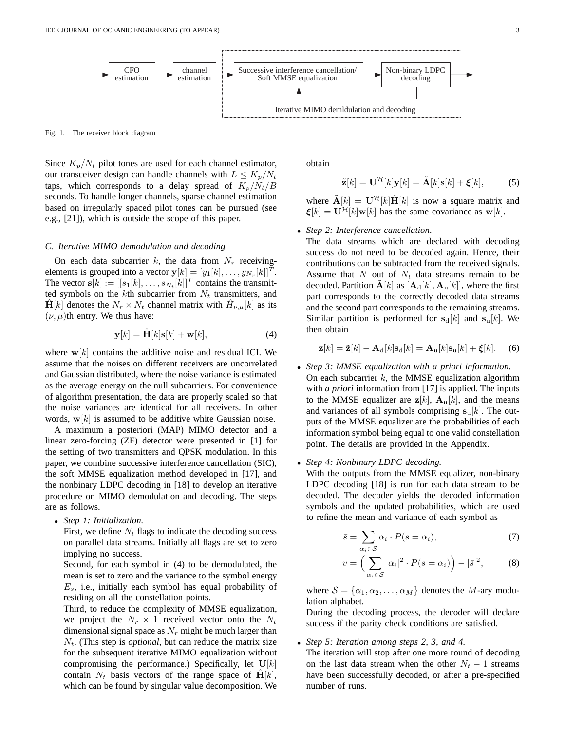

Fig. 1. The receiver block diagram

Since  $K_p/N_t$  pilot tones are used for each channel estimator, our transceiver design can handle channels with  $L \leq K_n/N_t$ taps, which corresponds to a delay spread of  $K_p/N_t/B$ seconds. To handle longer channels, sparse channel estimation based on irregularly spaced pilot tones can be pursued (see e.g., [21]), which is outside the scope of this paper.

## *C. Iterative MIMO demodulation and decoding*

On each data subcarrier k, the data from  $N_r$  receivingelements is grouped into a vector  $\mathbf{y}[k] = [y_1[k], \dots, y_{N_r}[k]]^T$ . The vector  $\mathbf{s}[k] := [[s_1[k], \dots, s_{N_t}[k]]^T$  contains the transmitted symbols on the kth subcarrier from  $N_t$  transmitters, and  $\hat{\mathbf{H}}[k]$  denotes the  $N_r \times N_t$  channel matrix with  $\hat{H}_{\nu,\mu}[k]$  as its  $(\nu, \mu)$ th entry. We thus have:

$$
\mathbf{y}[k] = \hat{\mathbf{H}}[k]\mathbf{s}[k] + \mathbf{w}[k],\tag{4}
$$

where  $w[k]$  contains the additive noise and residual ICI. We assume that the noises on different receivers are uncorrelated and Gaussian distributed, where the noise variance is estimated as the average energy on the null subcarriers. For convenience of algorithm presentation, the data are properly scaled so that the noise variances are identical for all receivers. In other words,  $\mathbf{w}[k]$  is assumed to be additive white Gaussian noise.

A maximum a posteriori (MAP) MIMO detector and a linear zero-forcing (ZF) detector were presented in [1] for the setting of two transmitters and QPSK modulation. In this paper, we combine successive interference cancellation (SIC), the soft MMSE equalization method developed in [17], and the nonbinary LDPC decoding in [18] to develop an iterative procedure on MIMO demodulation and decoding. The steps are as follows.

• *Step 1: Initialization.*

First, we define  $N_t$  flags to indicate the decoding success on parallel data streams. Initially all flags are set to zero implying no success.

Second, for each symbol in (4) to be demodulated, the mean is set to zero and the variance to the symbol energy  $E_s$ , i.e., initially each symbol has equal probability of residing on all the constellation points.

Third, to reduce the complexity of MMSE equalization, we project the  $N_r \times 1$  received vector onto the  $N_t$ dimensional signal space as  $N_r$  might be much larger than  $N_t$ . (This step is *optional*, but can reduce the matrix size for the subsequent iterative MIMO equalization without compromising the performance.) Specifically, let  $U[k]$ contain  $N_t$  basis vectors of the range space of  $H[k]$ , which can be found by singular value decomposition. We obtain

$$
\tilde{\mathbf{z}}[k] = \mathbf{U}^{\mathcal{H}}[k]\mathbf{y}[k] = \tilde{\mathbf{A}}[k]\mathbf{s}[k] + \boldsymbol{\xi}[k],\tag{5}
$$

where  $\tilde{\mathbf{A}}[k] = \mathbf{U}^{\mathcal{H}}[k]\hat{\mathbf{H}}[k]$  is now a square matrix and  $\boldsymbol{\xi}[k] = \mathbf{U}^{\mathcal{H}}[k]\mathbf{w}[k]$  has the same covariance as  $\mathbf{w}[k]$ .

## • *Step 2: Interference cancellation.*

The data streams which are declared with decoding success do not need to be decoded again. Hence, their contributions can be subtracted from the received signals. Assume that  $N$  out of  $N_t$  data streams remain to be decoded. Partition  $\mathbf{A}[k]$  as  $[\mathbf{A}_{d}[k], \mathbf{A}_{u}[k]]$ , where the first part corresponds to the correctly decoded data streams and the second part corresponds to the remaining streams. Similar partition is performed for  $s_d[k]$  and  $s_u[k]$ . We then obtain

$$
\mathbf{z}[k] = \tilde{\mathbf{z}}[k] - \mathbf{A}_{\mathrm{d}}[k] \mathbf{s}_{\mathrm{d}}[k] = \mathbf{A}_{\mathrm{u}}[k] \mathbf{s}_{\mathrm{u}}[k] + \boldsymbol{\xi}[k]. \quad (6)
$$

- *Step 3: MMSE equalization with a priori information.* On each subcarrier  $k$ , the MMSE equalization algorithm with *a priori* information from [17] is applied. The inputs to the MMSE equalizer are  $z[k]$ ,  $A_u[k]$ , and the means and variances of all symbols comprising  $s_u[k]$ . The outputs of the MMSE equalizer are the probabilities of each information symbol being equal to one valid constellation point. The details are provided in the Appendix.
- *Step 4: Nonbinary LDPC decoding.*

With the outputs from the MMSE equalizer, non-binary LDPC decoding [18] is run for each data stream to be decoded. The decoder yields the decoded information symbols and the updated probabilities, which are used to refine the mean and variance of each symbol as

$$
\bar{s} = \sum_{\alpha_i \in S} \alpha_i \cdot P(s = \alpha_i),\tag{7}
$$

$$
v = \left(\sum_{\alpha_i \in \mathcal{S}} |\alpha_i|^2 \cdot P(s = \alpha_i)\right) - |\bar{s}|^2, \tag{8}
$$

where  $S = {\alpha_1, \alpha_2, \dots, \alpha_M}$  denotes the M-ary modulation alphabet.

During the decoding process, the decoder will declare success if the parity check conditions are satisfied.

• *Step 5: Iteration among steps 2, 3, and 4.*

The iteration will stop after one more round of decoding on the last data stream when the other  $N_t - 1$  streams have been successfully decoded, or after a pre-specified number of runs.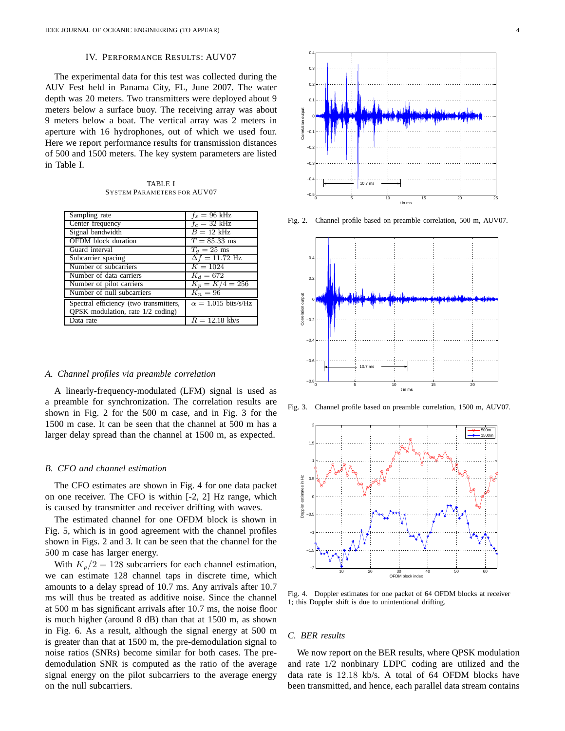## IV. PERFORMANCE RESULTS: AUV07

The experimental data for this test was collected during the AUV Fest held in Panama City, FL, June 2007. The water depth was 20 meters. Two transmitters were deployed about 9 meters below a surface buoy. The receiving array was about 9 meters below a boat. The vertical array was 2 meters in aperture with 16 hydrophones, out of which we used four. Here we report performance results for transmission distances of 500 and 1500 meters. The key system parameters are listed in Table I.

| <b>TABLE I</b>                     |
|------------------------------------|
| <b>SYSTEM PARAMETERS FOR AUV07</b> |

| Sampling rate                          | $f_s = 96$ kHz             |
|----------------------------------------|----------------------------|
| Center frequency                       | $f_c = 32 \text{ kHz}$     |
| Signal bandwidth                       | $B = 12$ kHz               |
| <b>OFDM</b> block duration             | $T = 85.33$ ms             |
| Guard interval                         | $T_q = 25$ ms              |
| Subcarrier spacing                     | $\Delta f = 11.72$ Hz      |
| Number of subcarriers                  | $K = 1024$                 |
| Number of data carriers                | $K_d = 672$                |
| Number of pilot carriers               | $K_p = K/4 = 256$          |
| Number of null subcarriers             | $K_n=96$                   |
| Spectral efficiency (two transmitters, | $\alpha = 1.015$ bits/s/Hz |
| QPSK modulation, rate $1/2$ coding)    |                            |
| Data rate                              | $R = 12.18$ kb/s           |

#### *A. Channel profiles via preamble correlation*

A linearly-frequency-modulated (LFM) signal is used as a preamble for synchronization. The correlation results are shown in Fig. 2 for the 500 m case, and in Fig. 3 for the 1500 m case. It can be seen that the channel at 500 m has a larger delay spread than the channel at 1500 m, as expected.

## *B. CFO and channel estimation*

The CFO estimates are shown in Fig. 4 for one data packet on one receiver. The CFO is within [-2, 2] Hz range, which is caused by transmitter and receiver drifting with waves.

The estimated channel for one OFDM block is shown in Fig. 5, which is in good agreement with the channel profiles shown in Figs. 2 and 3. It can be seen that the channel for the 500 m case has larger energy.

With  $K_p/2 = 128$  subcarriers for each channel estimation, we can estimate 128 channel taps in discrete time, which amounts to a delay spread of 10.7 ms. Any arrivals after 10.7 ms will thus be treated as additive noise. Since the channel at 500 m has significant arrivals after 10.7 ms, the noise floor is much higher (around 8 dB) than that at 1500 m, as shown in Fig. 6. As a result, although the signal energy at 500 m is greater than that at 1500 m, the pre-demodulation signal to noise ratios (SNRs) become similar for both cases. The predemodulation SNR is computed as the ratio of the average signal energy on the pilot subcarriers to the average energy on the null subcarriers.



Fig. 2. Channel profile based on preamble correlation, 500 m, AUV07.



Fig. 3. Channel profile based on preamble correlation, 1500 m, AUV07.



Fig. 4. Doppler estimates for one packet of 64 OFDM blocks at receiver 1; this Doppler shift is due to unintentional drifting.

## *C. BER results*

We now report on the BER results, where QPSK modulation and rate 1/2 nonbinary LDPC coding are utilized and the data rate is 12.18 kb/s. A total of 64 OFDM blocks have been transmitted, and hence, each parallel data stream contains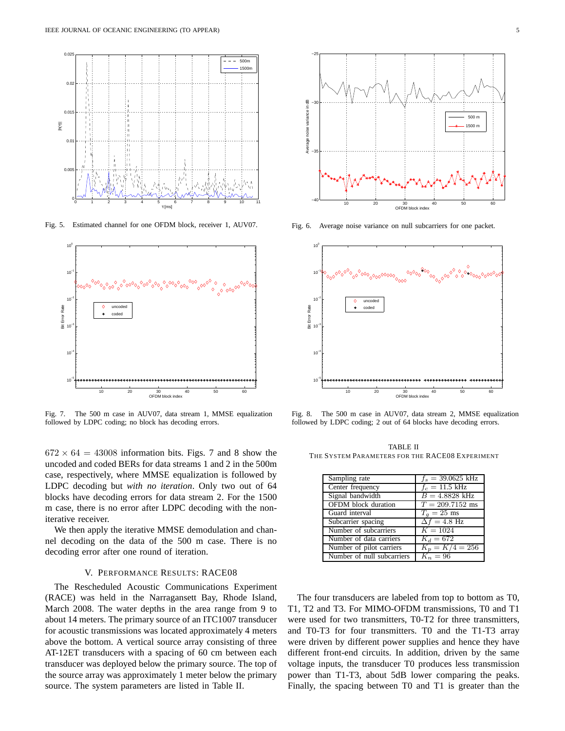

Fig. 5. Estimated channel for one OFDM block, receiver 1, AUV07.



Fig. 7. The 500 m case in AUV07, data stream 1, MMSE equalization followed by LDPC coding; no block has decoding errors.

 $672 \times 64 = 43008$  information bits. Figs. 7 and 8 show the uncoded and coded BERs for data streams 1 and 2 in the 500m case, respectively, where MMSE equalization is followed by LDPC decoding but *with no iteration*. Only two out of 64 blocks have decoding errors for data stream 2. For the 1500 m case, there is no error after LDPC decoding with the noniterative receiver.

We then apply the iterative MMSE demodulation and channel decoding on the data of the 500 m case. There is no decoding error after one round of iteration.

## V. PERFORMANCE RESULTS: RACE08

The Rescheduled Acoustic Communications Experiment (RACE) was held in the Narragansett Bay, Rhode Island, March 2008. The water depths in the area range from 9 to about 14 meters. The primary source of an ITC1007 transducer for acoustic transmissions was located approximately 4 meters above the bottom. A vertical source array consisting of three AT-12ET transducers with a spacing of 60 cm between each transducer was deployed below the primary source. The top of the source array was approximately 1 meter below the primary source. The system parameters are listed in Table II.



Fig. 6. Average noise variance on null subcarriers for one packet.



Fig. 8. The 500 m case in AUV07, data stream 2, MMSE equalization followed by LDPC coding; 2 out of 64 blocks have decoding errors.

TABLE II THE SYSTEM PARAMETERS FOR THE RACE08 EXPERIMENT

| Sampling rate              | $f_s = 39.0625$ kHz      |
|----------------------------|--------------------------|
| Center frequency           | $f_c = 11.5 \text{ kHz}$ |
| Signal bandwidth           | $B = 4.8828$ kHz         |
| <b>OFDM</b> block duration | $T = 209.7152$ ms        |
| Guard interval             | $T_a = 25$ ms            |
| Subcarrier spacing         | $\Delta f = 4.8$ Hz      |
| Number of subcarriers      | $K = 1024$               |
| Number of data carriers    | $K_d = 672$              |
| Number of pilot carriers   | $K_p = K/4 = 256$        |
| Number of null subcarriers | $K_n=96$                 |

The four transducers are labeled from top to bottom as T0, T1, T2 and T3. For MIMO-OFDM transmissions, T0 and T1 were used for two transmitters, T0-T2 for three transmitters, and T0-T3 for four transmitters. T0 and the T1-T3 array were driven by different power supplies and hence they have different front-end circuits. In addition, driven by the same voltage inputs, the transducer T0 produces less transmission power than T1-T3, about 5dB lower comparing the peaks. Finally, the spacing between T0 and T1 is greater than the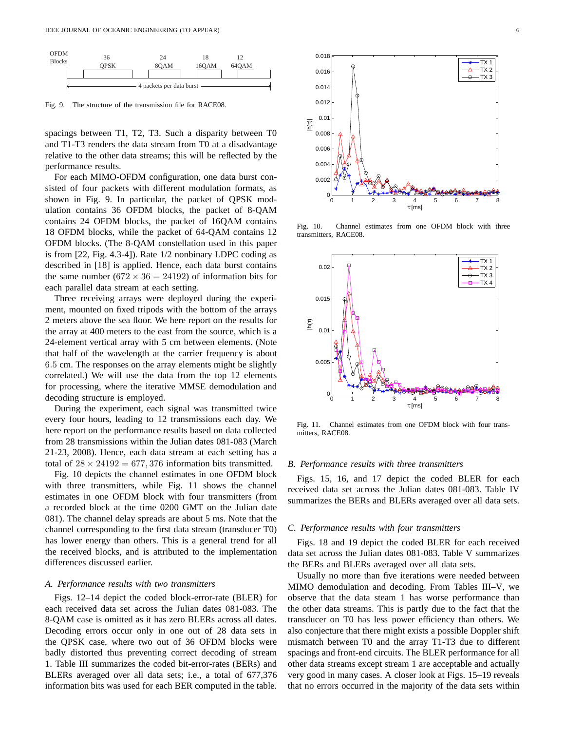

Fig. 9. The structure of the transmission file for RACE08.

spacings between T1, T2, T3. Such a disparity between T0 and T1-T3 renders the data stream from T0 at a disadvantage relative to the other data streams; this will be reflected by the performance results.

For each MIMO-OFDM configuration, one data burst consisted of four packets with different modulation formats, as shown in Fig. 9. In particular, the packet of QPSK modulation contains 36 OFDM blocks, the packet of 8-QAM contains 24 OFDM blocks, the packet of 16QAM contains 18 OFDM blocks, while the packet of 64-QAM contains 12 OFDM blocks. (The 8-QAM constellation used in this paper is from [22, Fig. 4.3-4]). Rate 1/2 nonbinary LDPC coding as described in [18] is applied. Hence, each data burst contains the same number (672  $\times$  36 = 24192) of information bits for each parallel data stream at each setting.

Three receiving arrays were deployed during the experiment, mounted on fixed tripods with the bottom of the arrays 2 meters above the sea floor. We here report on the results for the array at 400 meters to the east from the source, which is a 24-element vertical array with 5 cm between elements. (Note that half of the wavelength at the carrier frequency is about 6.5 cm. The responses on the array elements might be slightly correlated.) We will use the data from the top 12 elements for processing, where the iterative MMSE demodulation and decoding structure is employed.

During the experiment, each signal was transmitted twice every four hours, leading to 12 transmissions each day. We here report on the performance results based on data collected from 28 transmissions within the Julian dates 081-083 (March 21-23, 2008). Hence, each data stream at each setting has a total of  $28 \times 24192 = 677,376$  information bits transmitted.

Fig. 10 depicts the channel estimates in one OFDM block with three transmitters, while Fig. 11 shows the channel estimates in one OFDM block with four transmitters (from a recorded block at the time 0200 GMT on the Julian date 081). The channel delay spreads are about 5 ms. Note that the channel corresponding to the first data stream (transducer T0) has lower energy than others. This is a general trend for all the received blocks, and is attributed to the implementation differences discussed earlier.

#### *A. Performance results with two transmitters*

Figs. 12–14 depict the coded block-error-rate (BLER) for each received data set across the Julian dates 081-083. The 8-QAM case is omitted as it has zero BLERs across all dates. Decoding errors occur only in one out of 28 data sets in the QPSK case, where two out of 36 OFDM blocks were badly distorted thus preventing correct decoding of stream 1. Table III summarizes the coded bit-error-rates (BERs) and BLERs averaged over all data sets; i.e., a total of 677,376 information bits was used for each BER computed in the table.



Fig. 10. Channel estimates from one OFDM block with three transmitters, RACE08.



Fig. 11. Channel estimates from one OFDM block with four transmitters, RACE08.

## *B. Performance results with three transmitters*

Figs. 15, 16, and 17 depict the coded BLER for each received data set across the Julian dates 081-083. Table IV summarizes the BERs and BLERs averaged over all data sets.

#### *C. Performance results with four transmitters*

Figs. 18 and 19 depict the coded BLER for each received data set across the Julian dates 081-083. Table V summarizes the BERs and BLERs averaged over all data sets.

Usually no more than five iterations were needed between MIMO demodulation and decoding. From Tables III–V, we observe that the data steam 1 has worse performance than the other data streams. This is partly due to the fact that the transducer on T0 has less power efficiency than others. We also conjecture that there might exists a possible Doppler shift mismatch between T0 and the array T1-T3 due to different spacings and front-end circuits. The BLER performance for all other data streams except stream 1 are acceptable and actually very good in many cases. A closer look at Figs. 15–19 reveals that no errors occurred in the majority of the data sets within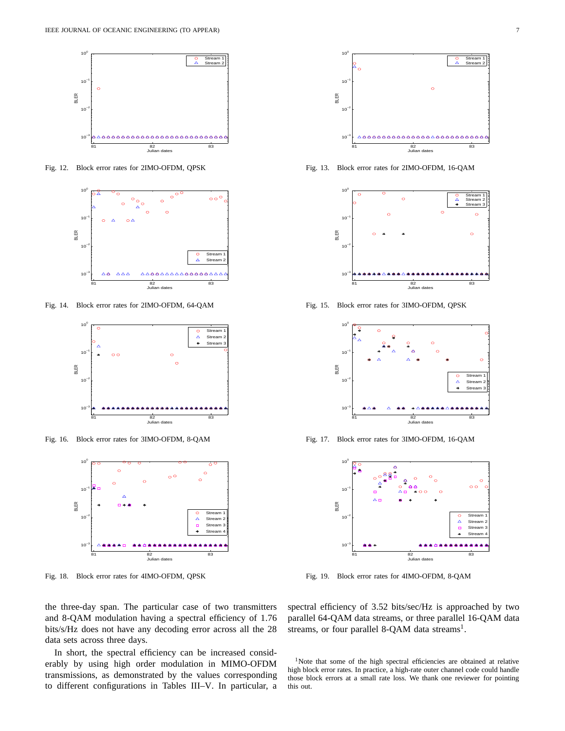

Fig. 12. Block error rates for 2IMO-OFDM, QPSK



Fig. 14. Block error rates for 2IMO-OFDM, 64-QAM



Fig. 16. Block error rates for 3IMO-OFDM, 8-QAM



Fig. 18. Block error rates for 4IMO-OFDM, QPSK

the three-day span. The particular case of two transmitters and 8-QAM modulation having a spectral efficiency of 1.76 bits/s/Hz does not have any decoding error across all the 28 data sets across three days.

In short, the spectral efficiency can be increased considerably by using high order modulation in MIMO-OFDM transmissions, as demonstrated by the values corresponding to different configurations in Tables III–V. In particular, a



Fig. 13. Block error rates for 2IMO-OFDM, 16-QAM



Fig. 15. Block error rates for 3IMO-OFDM, QPSK



Fig. 17. Block error rates for 3IMO-OFDM, 16-QAM



Fig. 19. Block error rates for 4IMO-OFDM, 8-QAM

spectral efficiency of 3.52 bits/sec/Hz is approached by two parallel 64-QAM data streams, or three parallel 16-QAM data streams, or four parallel 8-QAM data streams<sup>1</sup>.

<sup>&</sup>lt;sup>1</sup>Note that some of the high spectral efficiencies are obtained at relative high block error rates. In practice, a high-rate outer channel code could handle those block errors at a small rate loss. We thank one reviewer for pointing this out.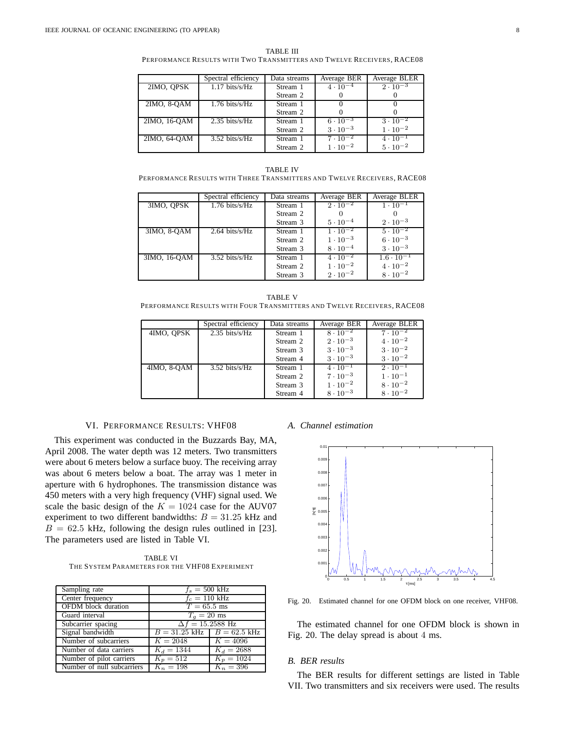TABLE III

PERFORMANCE RESULTS WITH TWO TRANSMITTERS AND TWELVE RECEIVERS, RACE08

|              | Spectral efficiency        | Data streams | Average BER       | Average BLER      |
|--------------|----------------------------|--------------|-------------------|-------------------|
| 2IMO, OPSK   | $1.17 \; \text{bits/s/Hz}$ | Stream 1     | $4 \cdot 10^{-4}$ | $2 \cdot 10^{-3}$ |
|              |                            | Stream 2     |                   |                   |
| 2IMO, 8-OAM  | $1.76 \; \text{bits/s/Hz}$ | Stream 1     |                   |                   |
|              |                            | Stream 2     |                   |                   |
| 2IMO, 16-OAM | $2.35 \; \text{bits/s/Hz}$ | Stream 1     | $6 \cdot 10^{-3}$ | $3 \cdot 10^{-2}$ |
|              |                            | Stream 2     | $3 \cdot 10^{-3}$ | $1 \cdot 10^{-2}$ |
| 2IMO, 64-OAM | $3.52 \text{ bits/s/Hz}$   | Stream 1     | $7 \cdot 10^{-2}$ | $4 \cdot 10^{-1}$ |
|              |                            | Stream 2     | $1 \cdot 10^{-2}$ | $5 \cdot 10^{-2}$ |

TABLE IV PERFORMANCE RESULTS WITH THREE TRANSMITTERS AND TWELVE RECEIVERS, RACE08

|              | Spectral efficiency        | Data streams | Average BER       | Average BLER        |
|--------------|----------------------------|--------------|-------------------|---------------------|
| 3IMO, OPSK   | $1.76 \; \text{bits/s/Hz}$ | Stream 1     | $2 \cdot 10^{-2}$ | $1 \cdot 10^{-1}$   |
|              |                            | Stream 2     |                   |                     |
|              |                            | Stream 3     | $5 \cdot 10^{-4}$ | $2 \cdot 10^{-3}$   |
| 3IMO, 8-OAM  | $2.64 \; \text{bits/s/Hz}$ | Stream 1     | $1 \cdot 10^{-2}$ | $5 \cdot 10^{-2}$   |
|              |                            | Stream 2     | $1 \cdot 10^{-3}$ | $6 \cdot 10^{-3}$   |
|              |                            | Stream 3     | $8 \cdot 10^{-4}$ | $3 \cdot 10^{-3}$   |
| 3IMO, 16-QAM | $3.52 \; \text{bits/s/Hz}$ | Stream 1     | $4 \cdot 10^{-2}$ | $1.6 \cdot 10^{-1}$ |
|              |                            | Stream 2     | $1 \cdot 10^{-2}$ | $4 \cdot 10^{-2}$   |
|              |                            | Stream 3     | $2 \cdot 10^{-2}$ | $8 \cdot 10^{-2}$   |

| TABLE V                                                                 |
|-------------------------------------------------------------------------|
| PERFORMANCE RESULTS WITH FOUR TRANSMITTERS AND TWELVE RECEIVERS, RACE08 |

|             | Spectral efficiency        | Data streams | Average BER       | Average BLER      |
|-------------|----------------------------|--------------|-------------------|-------------------|
| 4IMO, OPSK  | $2.35 \; \text{bits/s/Hz}$ | Stream 1     | $8 \cdot 10^{-2}$ | $7 \cdot 10^{-2}$ |
|             |                            | Stream 2     | $2 \cdot 10^{-3}$ | $4 \cdot 10^{-2}$ |
|             |                            | Stream 3     | $3 \cdot 10^{-3}$ | $3 \cdot 10^{-2}$ |
|             |                            | Stream 4     | $3 \cdot 10^{-3}$ | $3 \cdot 10^{-2}$ |
| 4IMO, 8-OAM | $3.52 \; \text{bits/s/Hz}$ | Stream 1     | $4 \cdot 10^{-1}$ | $2 \cdot 10^{-1}$ |
|             |                            | Stream 2     | $7 \cdot 10^{-3}$ | $1 \cdot 10^{-1}$ |
|             |                            | Stream 3     | $1 \cdot 10^{-2}$ | $8 \cdot 10^{-2}$ |
|             |                            | Stream 4     | $8 \cdot 10^{-3}$ | $8 \cdot 10^{-2}$ |

## VI. PERFORMANCE RESULTS: VHF08

This experiment was conducted in the Buzzards Bay, MA, April 2008. The water depth was 12 meters. Two transmitters were about 6 meters below a surface buoy. The receiving array was about 6 meters below a boat. The array was 1 meter in aperture with 6 hydrophones. The transmission distance was 450 meters with a very high frequency (VHF) signal used. We scale the basic design of the  $K = 1024$  case for the AUV07 experiment to two different bandwidths:  $B = 31.25$  kHz and  $B = 62.5$  kHz, following the design rules outlined in [23]. The parameters used are listed in Table VI.

TABLE VI THE SYSTEM PARAMETERS FOR THE VHF08 EXPERIMENT

| Sampling rate              | $f_s = 500$ kHz                |              |  |  |
|----------------------------|--------------------------------|--------------|--|--|
| Center frequency           | $f_c = 110$ kHz                |              |  |  |
| <b>OFDM</b> block duration | $T = 65.5$ ms                  |              |  |  |
| Guard interval             | $T_q = 20$ ms                  |              |  |  |
| Subcarrier spacing         | $\Delta f = 15.2588$ Hz        |              |  |  |
| Signal bandwidth           | $B = 31.25$ kHz $B = 62.5$ kHz |              |  |  |
| Number of subcarriers      | $K = 2048$                     | $K = 4096$   |  |  |
| Number of data carriers    | $K_d = 1344$                   | $K_d = 2688$ |  |  |
| Number of pilot carriers   | $K_p = 512$                    | $K_p = 1024$ |  |  |
| Number of null subcarriers | $K_n = 198$                    | $K_n = 396$  |  |  |

## *A. Channel estimation*



Fig. 20. Estimated channel for one OFDM block on one receiver, VHF08.

The estimated channel for one OFDM block is shown in Fig. 20. The delay spread is about 4 ms.

## *B. BER results*

The BER results for different settings are listed in Table VII. Two transmitters and six receivers were used. The results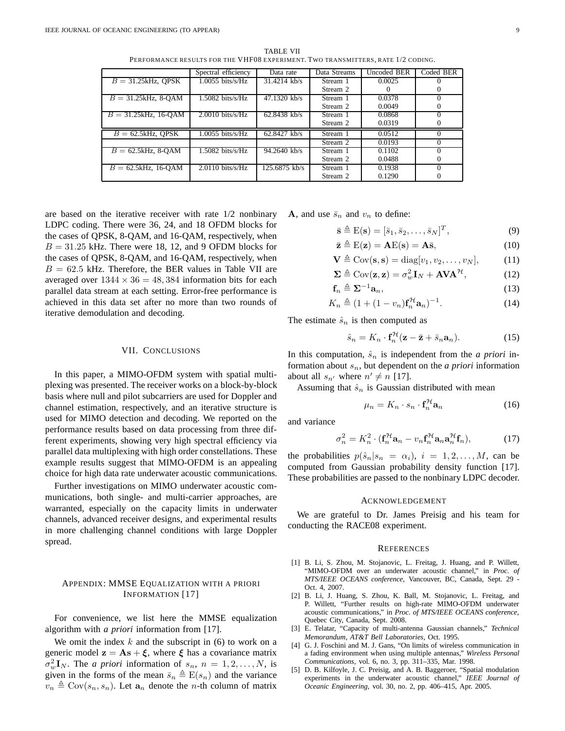|                         | Spectral efficiency          | Data rate       | Data Streams | Uncoded BER | Coded BER |
|-------------------------|------------------------------|-----------------|--------------|-------------|-----------|
| $B = 31.25kHz$ , OPSK   | $1.0055$ bits/s/Hz           | $31.4214$ kb/s  | Stream 1     | 0.0025      |           |
|                         |                              |                 | Stream 2     |             |           |
| $B = 31.25kHz$ , 8-OAM  | $1.5082 \; \text{bits/s/Hz}$ | $47.1320$ kb/s  | Stream 1     | 0.0378      |           |
|                         |                              |                 | Stream 2     | 0.0049      |           |
| $B = 31.25$ kHz, 16-OAM | $2.0010$ bits/s/Hz           | $62.8438$ kb/s  | Stream 1     | 0.0868      |           |
|                         |                              |                 | Stream 2     | 0.0319      |           |
| $B = 62.5$ kHz, QPSK    | $1.0055$ bits/s/Hz           | $62.8427$ kb/s  | Stream 1     | 0.0512      |           |
|                         |                              |                 | Stream 2     | 0.0193      | $\Omega$  |
| $B = 62.5$ kHz, 8-OAM   | $1.5082$ bits/s/Hz           | $94.2640$ kb/s  | Stream 1     | 0.1102      |           |
|                         |                              |                 | Stream 2     | 0.0488      |           |
| $B = 62.5$ kHz, 16-QAM  | $2.0110$ bits/s/Hz           | $125.6875$ kb/s | Stream 1     | 0.1938      |           |
|                         |                              |                 | Stream 2     | 0.1290      |           |

TABLE VII PERFORMANCE RESULTS FOR THE VHF08 EXPERIMENT. TWO TRANSMITTERS, RATE 1/2 CODING.

are based on the iterative receiver with rate 1/2 nonbinary LDPC coding. There were 36, 24, and 18 OFDM blocks for the cases of QPSK, 8-QAM, and 16-QAM, respectively, when  $B = 31.25$  kHz. There were 18, 12, and 9 OFDM blocks for the cases of QPSK, 8-QAM, and 16-QAM, respectively, when  $B = 62.5$  kHz. Therefore, the BER values in Table VII are averaged over  $1344 \times 36 = 48,384$  information bits for each parallel data stream at each setting. Error-free performance is achieved in this data set after no more than two rounds of iterative demodulation and decoding.

## VII. CONCLUSIONS

In this paper, a MIMO-OFDM system with spatial multiplexing was presented. The receiver works on a block-by-block basis where null and pilot subcarriers are used for Doppler and channel estimation, respectively, and an iterative structure is used for MIMO detection and decoding. We reported on the performance results based on data processing from three different experiments, showing very high spectral efficiency via parallel data multiplexing with high order constellations. These example results suggest that MIMO-OFDM is an appealing choice for high data rate underwater acoustic communications.

Further investigations on MIMO underwater acoustic communications, both single- and multi-carrier approaches, are warranted, especially on the capacity limits in underwater channels, advanced receiver designs, and experimental results in more challenging channel conditions with large Doppler spread.

## APPENDIX: MMSE EQUALIZATION WITH A PRIORI INFORMATION [17]

For convenience, we list here the MMSE equalization algorithm with *a priori* information from [17].

We omit the index  $k$  and the subscript in (6) to work on a generic model  $z = As + \xi$ , where  $\xi$  has a covariance matrix  $\sigma_w^2 \mathbf{I}_N$ . The *a priori* information of  $s_n$ ,  $n = 1, 2, ..., N$ , is given in the forms of the mean  $\bar{s}_n \triangleq E(s_n)$  and the variance  $v_n \triangleq \text{Cov}(s_n, s_n)$ . Let  $\mathbf{a}_n$  denote the *n*-th column of matrix **A**, and use  $\bar{s}_n$  and  $v_n$  to define:

$$
\bar{\mathbf{s}} \triangleq \mathbf{E}(\mathbf{s}) = [\bar{s}_1, \bar{s}_2, \dots, \bar{s}_N]^T, \tag{9}
$$

$$
\bar{\mathbf{z}} \triangleq \mathrm{E}(\mathbf{z}) = \mathbf{A}\mathrm{E}(\mathbf{s}) = \mathbf{A}\bar{\mathbf{s}},\tag{10}
$$

$$
\mathbf{V} \triangleq \text{Cov}(\mathbf{s}, \mathbf{s}) = \text{diag}[v_1, v_2, \dots, v_N], \quad (11)
$$

$$
\mathbf{\Sigma} \triangleq \text{Cov}(\mathbf{z}, \mathbf{z}) = \sigma_w^2 \mathbf{I}_N + \mathbf{A} \mathbf{V} \mathbf{A}^{\mathcal{H}},
$$
(12)

$$
\mathbf{f}_n \triangleq \mathbf{\Sigma}^{-1} \mathbf{a}_n,\tag{13}
$$

$$
K_n \triangleq (1 + (1 - v_n) \mathbf{f}_n^{\mathcal{H}} \mathbf{a}_n)^{-1}.
$$
 (14)

The estimate  $\hat{s}_n$  is then computed as

$$
\hat{s}_n = K_n \cdot \mathbf{f}_n^{\mathcal{H}} (\mathbf{z} - \bar{\mathbf{z}} + \bar{s}_n \mathbf{a}_n). \tag{15}
$$

In this computation,  $\hat{s}_n$  is independent from the *a priori* information about  $s_n$ , but dependent on the *a priori* information about all  $s_{n'}$  where  $n' \neq n$  [17].

Assuming that  $\hat{s}_n$  is Gaussian distributed with mean

$$
\mu_n = K_n \cdot s_n \cdot \mathbf{f}_n^{\mathcal{H}} \mathbf{a}_n \tag{16}
$$

and variance

$$
\sigma_n^2 = K_n^2 \cdot (\mathbf{f}_n^{\mathcal{H}} \mathbf{a}_n - v_n \mathbf{f}_n^{\mathcal{H}} \mathbf{a}_n \mathbf{a}_n^{\mathcal{H}} \mathbf{f}_n), \tag{17}
$$

the probabilities  $p(\hat{s}_n|s_n = \alpha_i)$ ,  $i = 1, 2, ..., M$ , can be computed from Gaussian probability density function [17]. These probabilities are passed to the nonbinary LDPC decoder.

#### ACKNOWLEDGEMENT

We are grateful to Dr. James Preisig and his team for conducting the RACE08 experiment.

#### **REFERENCES**

- [1] B. Li, S. Zhou, M. Stojanovic, L. Freitag, J. Huang, and P. Willett, "MIMO-OFDM over an underwater acoustic channel," in *Proc. of MTS/IEEE OCEANS conference*, Vancouver, BC, Canada, Sept. 29 - Oct. 4, 2007.
- [2] B. Li, J. Huang, S. Zhou, K. Ball, M. Stojanovic, L. Freitag, and P. Willett, "Further results on high-rate MIMO-OFDM underwater acoustic communications," in *Proc. of MTS/IEEE OCEANS conference*, Quebec City, Canada, Sept. 2008.
- [3] E. Telatar, "Capacity of multi-antenna Gaussian channels," *Technical Memorandum, AT&T Bell Laboratories*, Oct. 1995.
- [4] G. J. Foschini and M. J. Gans, "On limits of wireless communication in a fading environment when using multiple antennas," *Wireless Personal Communications*, vol. 6, no. 3, pp. 311–335, Mar. 1998.
- [5] D. B. Kilfoyle, J. C. Preisig, and A. B. Baggeroer, "Spatial modulation experiments in the underwater acoustic channel," *IEEE Journal of Oceanic Engineering*, vol. 30, no. 2, pp. 406–415, Apr. 2005.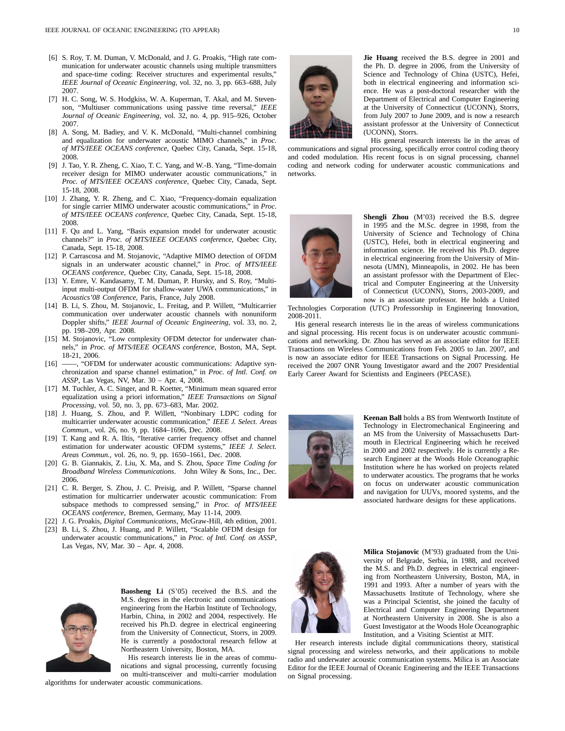- [6] S. Roy, T. M. Duman, V. McDonald, and J. G. Proakis, "High rate communication for underwater acoustic channels using multiple transmitters and space-time coding: Receiver structures and experimental results," *IEEE Journal of Oceanic Engineering*, vol. 32, no. 3, pp. 663–688, July 2007.
- [7] H. C. Song, W. S. Hodgkiss, W. A. Kuperman, T. Akal, and M. Stevenson, "Multiuser communications using passive time reversal," *IEEE Journal of Oceanic Engineering*, vol. 32, no. 4, pp. 915–926, October 2007.
- [8] A. Song, M. Badiey, and V. K. McDonald, "Multi-channel combining and equalization for underwater acoustic MIMO channels," in *Proc. of MTS/IEEE OCEANS conference*, Quebec City, Canada, Sept. 15-18, 2008.
- [9] J. Tao, Y. R. Zheng, C. Xiao, T. C. Yang, and W.-B. Yang, "Time-domain receiver design for MIMO underwater acoustic communications," in *Proc. of MTS/IEEE OCEANS conference*, Quebec City, Canada, Sept. 15-18, 2008.
- [10] J. Zhang, Y. R. Zheng, and C. Xiao, "Frequency-domain equalization for single carrier MIMO underwater acoustic communications," in *Proc. of MTS/IEEE OCEANS conference*, Quebec City, Canada, Sept. 15-18, 2008.
- [11] F. Qu and L. Yang, "Basis expansion model for underwater acoustic channels?" in *Proc. of MTS/IEEE OCEANS conference*, Quebec City, Canada, Sept. 15-18, 2008.
- [12] P. Carrascosa and M. Stojanovic, "Adaptive MIMO detection of OFDM signals in an underwater acoustic channel," in *Proc. of MTS/IEEE OCEANS conference*, Quebec City, Canada, Sept. 15-18, 2008.
- [13] Y. Emre, V. Kandasamy, T. M. Duman, P. Hursky, and S. Roy, "Multiinput multi-output OFDM for shallow-water UWA communications," in *Acoustics'08 Conference*, Paris, France, July 2008.
- [14] B. Li, S. Zhou, M. Stojanovic, L. Freitag, and P. Willett, "Multicarrier communication over underwater acoustic channels with nonuniform Doppler shifts," *IEEE Journal of Oceanic Engineering*, vol. 33, no. 2, pp. 198–209, Apr. 2008.
- [15] M. Stojanovic, "Low complexity OFDM detector for underwater channels," in *Proc. of MTS/IEEE OCEANS conference*, Boston, MA, Sept.  $18-21, 2006$ .<br>[16]  $\longrightarrow$  "OFD
- $-$ , "OFDM for underwater acoustic communications: Adaptive synchronization and sparse channel estimation," in *Proc. of Intl. Conf. on ASSP*, Las Vegas, NV, Mar. 30 – Apr. 4, 2008.
- [17] M. Tuchler, A. C. Singer, and R. Koetter, "Minimum mean squared error equalization using a priori information," *IEEE Transactions on Signal Processing*, vol. 50, no. 3, pp. 673–683, Mar. 2002.
- [18] J. Huang, S. Zhou, and P. Willett, "Nonbinary LDPC coding for multicarrier underwater acoustic communication," *IEEE J. Select. Areas Commun.*, vol. 26, no. 9, pp. 1684–1696, Dec. 2008.
- [19] T. Kang and R. A. Iltis, "Iterative carrier frequency offset and channel estimation for underwater acoustic OFDM systems," *IEEE J. Select. Areas Commun.*, vol. 26, no. 9, pp. 1650–1661, Dec. 2008.
- [20] G. B. Giannakis, Z. Liu, X. Ma, and S. Zhou, *Space Time Coding for Broadband Wireless Communications*. John Wiley & Sons, Inc., Dec. 2006.
- [21] C. R. Berger, S. Zhou, J. C. Preisig, and P. Willett, "Sparse channel estimation for multicarrier underwater acoustic communication: From subspace methods to compressed sensing," in *Proc. of MTS/IEEE OCEANS conference*, Bremen, Germany, May 11-14, 2009.
- [22] J. G. Proakis, *Digital Communications*, McGraw-Hill, 4th edition, 2001.
- [23] B. Li, S. Zhou, J. Huang, and P. Willett, "Scalable OFDM design for underwater acoustic communications," in *Proc. of Intl. Conf. on ASSP*, Las Vegas, NV, Mar. 30 – Apr. 4, 2008.



**Baosheng Li** (S'05) received the B.S. and the M.S. degrees in the electronic and communications engineering from the Harbin Institute of Technology, Harbin, China, in 2002 and 2004, respectively. He received his Ph.D. degree in electrical engineering from the University of Connecticut, Storrs, in 2009. He is currently a postdoctoral research fellow at Northeastern University, Boston, MA.

His research interests lie in the areas of communications and signal processing, currently focusing on multi-transceiver and multi-carrier modulation

algorithms for underwater acoustic communications.



**Jie Huang** received the B.S. degree in 2001 and the Ph. D. degree in 2006, from the University of Science and Technology of China (USTC), Hefei, both in electrical engineering and information science. He was a post-doctoral researcher with the Department of Electrical and Computer Engineering at the University of Connecticut (UCONN), Storrs, from July 2007 to June 2009, and is now a research assistant professor at the University of Connecticut (UCONN), Storrs.

His general research interests lie in the areas of communications and signal processing, specifically error control coding theory and coded modulation. His recent focus is on signal processing, channel coding and network coding for underwater acoustic communications and networks.



**Shengli Zhou** (M'03) received the B.S. degree in 1995 and the M.Sc. degree in 1998, from the University of Science and Technology of China (USTC), Hefei, both in electrical engineering and information science. He received his Ph.D. degree in electrical engineering from the University of Minnesota (UMN), Minneapolis, in 2002. He has been an assistant professor with the Department of Electrical and Computer Engineering at the University of Connecticut (UCONN), Storrs, 2003-2009, and now is an associate professor. He holds a United

Technologies Corporation (UTC) Professorship in Engineering Innovation, 2008-2011.

His general research interests lie in the areas of wireless communications and signal processing. His recent focus is on underwater acoustic communications and networking. Dr. Zhou has served as an associate editor for IEEE Transactions on Wireless Communications from Feb. 2005 to Jan. 2007, and is now an associate editor for IEEE Transactions on Signal Processing. He received the 2007 ONR Young Investigator award and the 2007 Presidential Early Career Award for Scientists and Engineers (PECASE).



**Keenan Ball** holds a BS from Wentworth Institute of Technology in Electromechanical Engineering and an MS from the University of Massachusetts Dartmouth in Electrical Engineering which he received in 2000 and 2002 respectively. He is currently a Research Engineer at the Woods Hole Oceanographic Institution where he has worked on projects related to underwater acoustics. The programs that he works on focus on underwater acoustic communication and navigation for UUVs, moored systems, and the associated hardware designs for these applications.



**Milica Stojanovic** (M'93) graduated from the University of Belgrade, Serbia, in 1988, and received the M.S. and Ph.D. degrees in electrical engineering from Northeastern University, Boston, MA, in 1991 and 1993. After a number of years with the Massachusetts Institute of Technology, where she was a Principal Scientist, she joined the faculty of Electrical and Computer Engineering Department at Northeastern University in 2008. She is also a Guest Investigator at the Woods Hole Oceanographic Institution, and a Visiting Scientist at MIT.

Her research interests include digital communications theory, statistical signal processing and wireless networks, and their applications to mobile radio and underwater acoustic communication systems. Milica is an Associate Editor for the IEEE Journal of Oceanic Engineering and the IEEE Transactions on Signal processing.